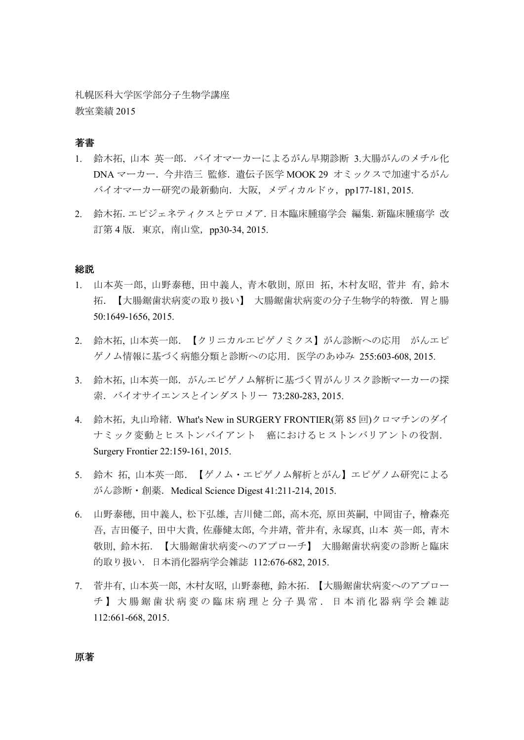札幌医科大学医学部分子生物学講座 教室業績 2015

# 著書

- 1. 鈴木拓,山本英一郎. バイオマーカーによるがん早期診断 3.大腸がんのメチル化 DNA マーカー.今井浩三 監修.遺伝子医学 MOOK 29 オミックスで加速するがん バイオマーカー研究の最新動向. 大阪, メディカルドゥ, pp177-181, 2015.
- 2. 鈴木拓.エピジェネティクスとテロメア.日本臨床腫瘍学会 編集.新臨床腫瘍学 改 訂第 4 版. 東京, 南山堂, pp30-34, 2015.

#### 総説

- 1. 山本英一郎, 山野泰穂, 田中義人, 青木敬則, 原田 拓, 木村友昭, 菅井 有, 鈴木 拓.【大腸鋸歯状病変の取り扱い】 大腸鋸歯状病変の分子生物学的特徴.胃と腸 50:1649-1656, 2015.
- 2. 鈴木拓, 山本英一郎.【クリニカルエピゲノミクス】がん診断への応用 がんエピ ゲノム情報に基づく病態分類と診断への応用.医学のあゆみ 255:603-608, 2015.
- 3. 鈴木拓,山本英一郎.がんエピゲノム解析に基づく胃がんリスク診断マーカーの探 索.バイオサイエンスとインダストリー 73:280-283, 2015.
- 4. 鈴木拓,丸山玲緒. What's New in SURGERY FRONTIER(第 85回)クロマチンのダイ ナミック変動とヒストンバイアント 癌におけるヒストンバリアントの役割. Surgery Frontier 22:159-161, 2015.
- 5. 鈴木 拓, 山本英一郎.【ゲノム・エピゲノム解析とがん】エピゲノム研究による がん診断・創薬.Medical Science Digest 41:211-214, 2015.
- 6. 山野泰穂, 田中義人, 松下弘雄, 吉川健二郎, 高木亮, 原田英嗣, 中岡宙子, 檜森亮 吾, 吉田優子, 田中大貴, 佐藤健太郎, 今井靖, 菅井有, 永塚真, 山本 英一郎, 青木 敬則, 鈴木拓.【大腸鋸歯状病変へのアプローチ】 大腸鋸歯状病変の診断と臨床 的取り扱い.日本消化器病学会雑誌 112:676-682, 2015.
- 7. 菅井有, 山本英一郎, 木村友昭, 山野泰穂, 鈴木拓.【大腸鋸歯状病変へのアプロー チ】大腸鋸歯状病変の臨床病理と分子異常.日本消化器病学会雑誌 112:661-668, 2015.

原著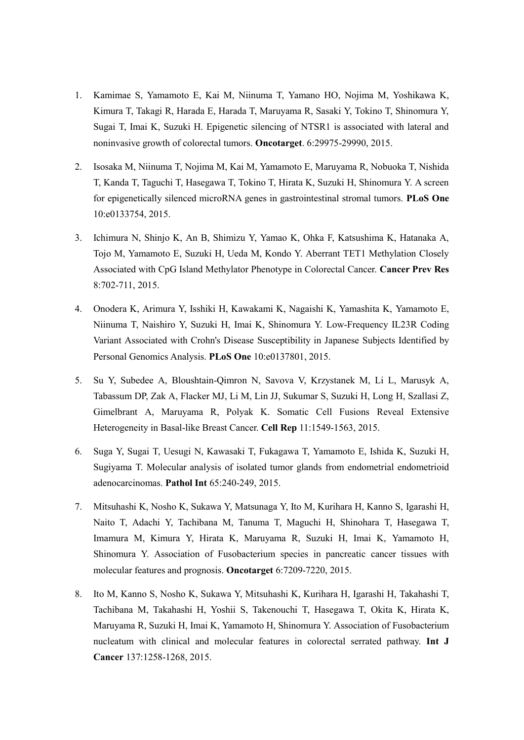- 1. Kamimae S, Yamamoto E, Kai M, Niinuma T, Yamano HO, Nojima M, Yoshikawa K, Kimura T, Takagi R, Harada E, Harada T, Maruyama R, Sasaki Y, Tokino T, Shinomura Y, Sugai T, Imai K, Suzuki H. Epigenetic silencing of NTSR1 is associated with lateral and noninvasive growth of colorectal tumors. **Oncotarget**. 6:29975-29990, 2015.
- 2. Isosaka M, Niinuma T, Nojima M, Kai M, Yamamoto E, Maruyama R, Nobuoka T, Nishida T, Kanda T, Taguchi T, Hasegawa T, Tokino T, Hirata K, Suzuki H, Shinomura Y. A screen for epigenetically silenced microRNA genes in gastrointestinal stromal tumors. **PLoS One** 10:e0133754, 2015.
- 3. Ichimura N, Shinjo K, An B, Shimizu Y, Yamao K, Ohka F, Katsushima K, Hatanaka A, Tojo M, Yamamoto E, Suzuki H, Ueda M, Kondo Y. Aberrant TET1 Methylation Closely Associated with CpG Island Methylator Phenotype in Colorectal Cancer. **Cancer Prev Res** 8:702-711, 2015.
- 4. Onodera K, Arimura Y, Isshiki H, Kawakami K, Nagaishi K, Yamashita K, Yamamoto E, Niinuma T, Naishiro Y, Suzuki H, Imai K, Shinomura Y. Low-Frequency IL23R Coding Variant Associated with Crohn's Disease Susceptibility in Japanese Subjects Identified by Personal Genomics Analysis. **PLoS One** 10:e0137801, 2015.
- 5. Su Y, Subedee A, Bloushtain-Qimron N, Savova V, Krzystanek M, Li L, Marusyk A, Tabassum DP, Zak A, Flacker MJ, Li M, Lin JJ, Sukumar S, Suzuki H, Long H, Szallasi Z, Gimelbrant A, Maruyama R, Polyak K. Somatic Cell Fusions Reveal Extensive Heterogeneity in Basal-like Breast Cancer. **Cell Rep** 11:1549-1563, 2015.
- 6. Suga Y, Sugai T, Uesugi N, Kawasaki T, Fukagawa T, Yamamoto E, Ishida K, Suzuki H, Sugiyama T. Molecular analysis of isolated tumor glands from endometrial endometrioid adenocarcinomas. **Pathol Int** 65:240-249, 2015.
- 7. Mitsuhashi K, Nosho K, Sukawa Y, Matsunaga Y, Ito M, Kurihara H, Kanno S, Igarashi H, Naito T, Adachi Y, Tachibana M, Tanuma T, Maguchi H, Shinohara T, Hasegawa T, Imamura M, Kimura Y, Hirata K, Maruyama R, Suzuki H, Imai K, Yamamoto H, Shinomura Y. Association of Fusobacterium species in pancreatic cancer tissues with molecular features and prognosis. **Oncotarget** 6:7209-7220, 2015.
- 8. Ito M, Kanno S, Nosho K, Sukawa Y, Mitsuhashi K, Kurihara H, Igarashi H, Takahashi T, Tachibana M, Takahashi H, Yoshii S, Takenouchi T, Hasegawa T, Okita K, Hirata K, Maruyama R, Suzuki H, Imai K, Yamamoto H, Shinomura Y. Association of Fusobacterium nucleatum with clinical and molecular features in colorectal serrated pathway. **Int J Cancer** 137:1258-1268, 2015.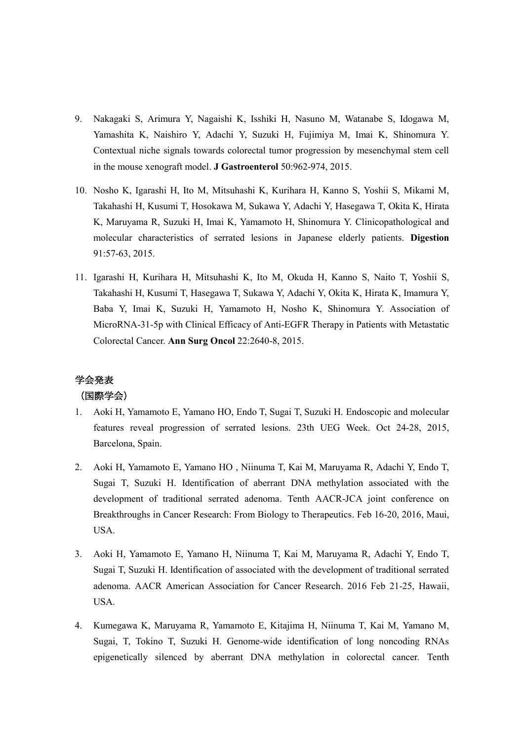- 9. Nakagaki S, Arimura Y, Nagaishi K, Isshiki H, Nasuno M, Watanabe S, Idogawa M, Yamashita K, Naishiro Y, Adachi Y, Suzuki H, Fujimiya M, Imai K, Shinomura Y. Contextual niche signals towards colorectal tumor progression by mesenchymal stem cell in the mouse xenograft model. **J Gastroenterol** 50:962-974, 2015.
- 10. Nosho K, Igarashi H, Ito M, Mitsuhashi K, Kurihara H, Kanno S, Yoshii S, Mikami M, Takahashi H, Kusumi T, Hosokawa M, Sukawa Y, Adachi Y, Hasegawa T, Okita K, Hirata K, Maruyama R, Suzuki H, Imai K, Yamamoto H, Shinomura Y. Clinicopathological and molecular characteristics of serrated lesions in Japanese elderly patients. **Digestion** 91:57-63, 2015.
- 11. Igarashi H, Kurihara H, Mitsuhashi K, Ito M, Okuda H, Kanno S, Naito T, Yoshii S, Takahashi H, Kusumi T, Hasegawa T, Sukawa Y, Adachi Y, Okita K, Hirata K, Imamura Y, Baba Y, Imai K, Suzuki H, Yamamoto H, Nosho K, Shinomura Y. Association of MicroRNA-31-5p with Clinical Efficacy of Anti-EGFR Therapy in Patients with Metastatic Colorectal Cancer. **Ann Surg Oncol** 22:2640-8, 2015.

# 学会発表

#### (国際学会)

- 1. Aoki H, Yamamoto E, Yamano HO, Endo T, Sugai T, Suzuki H. Endoscopic and molecular features reveal progression of serrated lesions. 23th UEG Week. Oct 24-28, 2015, Barcelona, Spain.
- 2. Aoki H, Yamamoto E, Yamano HO , Niinuma T, Kai M, Maruyama R, Adachi Y, Endo T, Sugai T, Suzuki H. Identification of aberrant DNA methylation associated with the development of traditional serrated adenoma. Tenth AACR-JCA joint conference on Breakthroughs in Cancer Research: From Biology to Therapeutics. Feb 16-20, 2016, Maui, USA.
- 3. Aoki H, Yamamoto E, Yamano H, Niinuma T, Kai M, Maruyama R, Adachi Y, Endo T, Sugai T, Suzuki H. Identification of associated with the development of traditional serrated adenoma. AACR American Association for Cancer Research. 2016 Feb 21-25, Hawaii, USA.
- 4. Kumegawa K, Maruyama R, Yamamoto E, Kitajima H, Niinuma T, Kai M, Yamano M, Sugai, T, Tokino T, Suzuki H. Genome-wide identification of long noncoding RNAs epigenetically silenced by aberrant DNA methylation in colorectal cancer. Tenth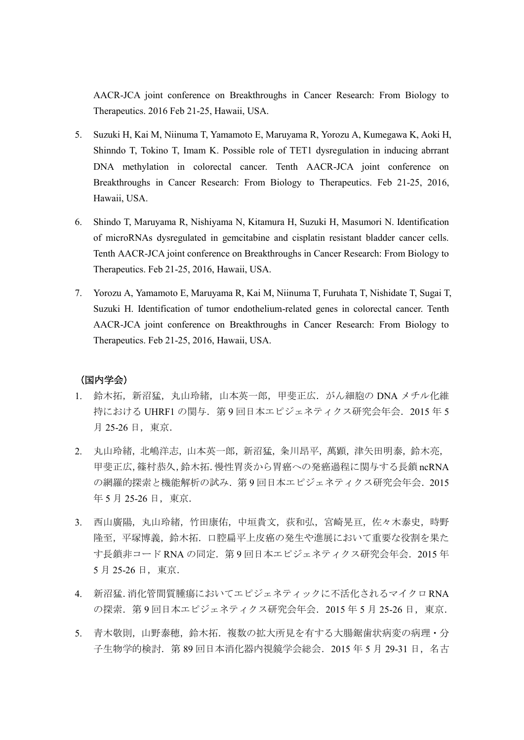AACR-JCA joint conference on Breakthroughs in Cancer Research: From Biology to Therapeutics. 2016 Feb 21-25, Hawaii, USA.

- 5. Suzuki H, Kai M, Niinuma T, Yamamoto E, Maruyama R, Yorozu A, Kumegawa K, Aoki H, Shinndo T, Tokino T, Imam K. Possible role of TET1 dysregulation in inducing abrrant DNA methylation in colorectal cancer. Tenth AACR-JCA joint conference on Breakthroughs in Cancer Research: From Biology to Therapeutics. Feb 21-25, 2016, Hawaii, USA.
- 6. Shindo T, Maruyama R, Nishiyama N, Kitamura H, Suzuki H, Masumori N. Identification of microRNAs dysregulated in gemcitabine and cisplatin resistant bladder cancer cells. Tenth AACR-JCA joint conference on Breakthroughs in Cancer Research: From Biology to Therapeutics. Feb 21-25, 2016, Hawaii, USA.
- 7. Yorozu A, Yamamoto E, Maruyama R, Kai M, Niinuma T, Furuhata T, Nishidate T, Sugai T, Suzuki H. Identification of tumor endothelium-related genes in colorectal cancer. Tenth AACR-JCA joint conference on Breakthroughs in Cancer Research: From Biology to Therapeutics. Feb 21-25, 2016, Hawaii, USA.

### (国内学会)

- 1. 鈴木拓, 新沼猛, 丸山玲緒, 山本英一郎, 甲斐正広. がん細胞の DNA メチル化維 持における UHRF1 の関与. 第9回日本エピジェネティクス研究会年会. 2015年5 月 25-26 日, 東京.
- 2. 丸山玲緒,北嶋洋志,山本英一郎,新沼猛,粂川昂平,萬顕,津矢田明泰,鈴木亮, 甲斐正広,篠村恭久,鈴木拓.慢性胃炎から胃癌への発癌過程に関与する長鎖 ncRNA の網羅的探索と機能解析の試み. 第9回日本エピジェネティクス研究会年会. 2015 年 5 月 25-26 日, 東京.
- 3. 西山廣陽,丸山玲緒,竹田康佑,中垣貴文,荻和弘,宮崎晃亘,佐々木泰史,時野 隆至,平塚博義,鈴木拓.口腔扁平上皮癌の発生や進展において重要な役割を果た す長鎖非コード RNA の同定. 第9回日本エピジェネティクス研究会年会. 2015 年 5 月 25-26 日,東京.
- 4. 新沼猛.消化管間質腫瘍においてエピジェネティックに不活化されるマイクロRNA の探索.第 9 回日本エピジェネティクス研究会年会.2015 年 5 月 25-26 日,東京.
- 5. 青木敬則,山野泰穂,鈴木拓.複数の拡大所見を有する大腸鋸歯状病変の病理·分 子生物学的検討. 第 89 回日本消化器内視鏡学会総会. 2015 年 5 月 29-31 日, 名古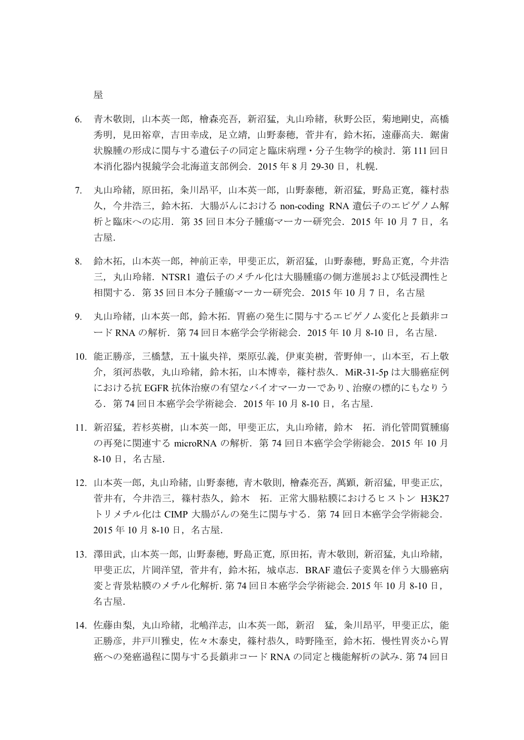屋

- 6. 青木敬則,山本英一郎,檜森亮吾,新沼猛,丸山玲緒,秋野公臣,菊地剛史,高橋 秀明, 見田裕章, 吉田幸成, 足立靖, 山野泰穂, 菅井有, 鈴木拓, 遠藤高夫. 鋸歯 状腺腫の形成に関与する遺伝子の同定と臨床病理・分子生物学的検討.第 111 回日 本消化器内視鏡学会北海道支部例会. 2015 年 8 月 29-30 日, 札幌.
- 7. 丸山玲緒,原田拓,粂川昂平,山本英一郎,山野泰穂,新沼猛,野島正寛,篠村恭 久, 今井浩三, 鈴木拓. 大腸がんにおける non-coding RNA 遺伝子のエピゲノム解 析と臨床への応用.第 35 回日本分子腫瘍マーカー研究会.2015 年 10 月 7 日,名 古屋.
- 8. 鈴木拓,山本英一郎,神前正幸,甲斐正広,新沼猛,山野泰穂,野島正寛,今井浩 三,丸山玲緒. NTSR1 遺伝子のメチル化は大腸腫瘍の側方進展および低浸潤性と 相関する.第 35 回日本分子腫瘍マーカー研究会.2015 年 10 月 7 日,名古屋
- 9. 丸山玲緒,山本英一郎,鈴木拓.胃癌の発生に関与するエピゲノム変化と長鎖非コ ード RNA の解析. 第 74 回日本癌学会学術総会. 2015 年 10 月 8-10 日, 名古屋.
- 10. 能正勝彦,三橋慧,五十嵐央祥,栗原弘義,伊東美樹,菅野伸一,山本至,石上敬 介, 須河恭敬, 丸山玲緒, 鈴木拓, 山本博幸, 篠村恭久. MiR-31-5p は大腸癌症例 における抗 EGFR 抗体治療の有望なバイオマーカーであり、治療の標的にもなりう る.第 74 回日本癌学会学術総会.2015 年 10 月 8-10 日,名古屋.
- 11. 新沼猛,若杉英樹,山本英一郎,甲斐正広,丸山玲緒,鈴木 拓.消化管間質腫瘍 の再発に関連する microRNA の解析. 第 74 回日本癌学会学術総会. 2015 年 10 月 8-10 日,名古屋.
- 12. 山本英一郎,丸山玲緒,山野泰穂,青木敬則,檜森亮吾,萬顕,新沼猛,甲斐正広, 菅井有, 今井浩三, 篠村恭久, 鈴木 拓. 正常大腸粘膜におけるヒストン H3K27 トリメチル化は CIMP 大腸がんの発生に関与する. 第 74 回日本癌学会学術総会. 2015 年 10 月 8-10 日,名古屋.
- 13. 澤田武,山本英一郎,山野泰穂,野島正寛,原田拓,青木敬則,新沼猛,丸山玲緒, 甲斐正広,片岡洋望,菅井有,鈴木拓,城卓志.BRAF 遺伝子変異を伴う大腸癌病 変と背景粘膜のメチル化解析.第 74 回日本癌学会学術総会.2015 年 10 月 8-10 日, 名古屋.
- 14. 佐藤由梨, 丸山玲緒, 北嶋洋志, 山本英一郎, 新沼 猛, 粂川昂平, 甲斐正広, 能 正勝彦,井戸川雅史,佐々木泰史,篠村恭久,時野隆至,鈴木拓.慢性胃炎から胃 癌への発癌過程に関与する長鎖非コード RNA の同定と機能解析の試み.第 74 回日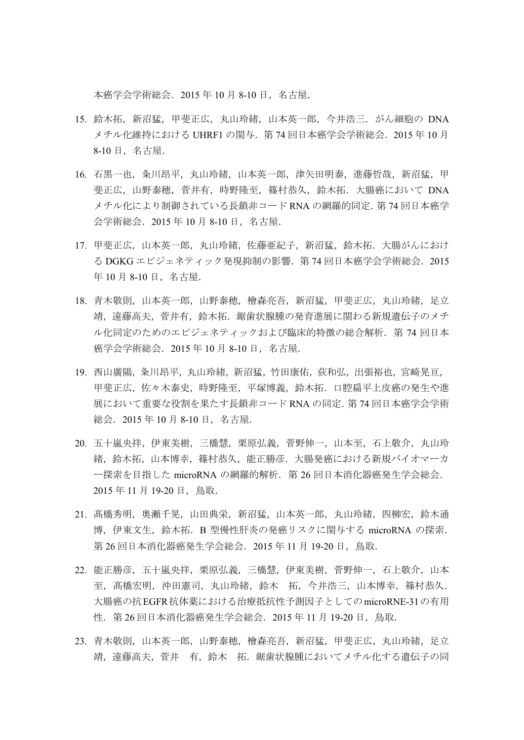本癌学会学術総会.2015 年 10 月 8-10 日,名古屋.

- 15. 鈴木拓, 新沼猛, 甲斐正広, 丸山玲緒, 山本英一郎, 今井浩三. がん細胞の DNA メチル化維持における UHRF1 の関与. 第 74 回日本癌学会学術総会. 2015 年 10 月 8-10 日,名古屋.
- 16. 石黒一也, 粂川昂平, 丸山玲緒, 山本英一郎, 津矢田明泰, 進藤哲哉, 新沼猛, 甲 斐正広,山野泰穂,菅井有,時野隆至,篠村恭久,鈴木拓.大腸癌において DNA メチル化により制御されている長鎖非コード RNA の網羅的同定.第 74 回日本癌学 会学術総会.2015 年 10 月 8-10 日,名古屋.
- 17. 甲斐正広,山本英一郎,丸山玲緒,佐藤亜紀子,新沼猛,鈴木拓.大腸がんにおけ る DGKG エピジェネティック発現抑制の影響.第 74 回日本癌学会学術総会.2015 年 10 月 8-10 日,名古屋.
- 18. 青木敬則,山本英一郎,山野泰穂,檜森亮吾,新沼猛,甲斐正広,丸山玲緒,足立 靖,遠藤高夫,菅井有,鈴木拓. 鋸歯状腺腫の発育進展に関わる新規遺伝子のメチ ル化同定のためのエピジェネティックおよび臨床的特徴の総合解析.第 74 回日本 癌学会学術総会.2015 年 10 月 8-10 日,名古屋.
- 19. 西山廣陽, 粂川昂平, 丸山玲緒, 新沼猛, 竹田康佑, 荻和弘, 出張裕也, 宮崎晃亘, 甲斐正広,佐々木泰史,時野隆至,平塚博義,鈴木拓.口腔扁平上皮癌の発生や進 展において重要な役割を果たす長鎖非コード RNA の同定.第 74 回日本癌学会学術 総会.2015 年 10 月 8-10 日,名古屋.
- 20. 五十嵐央祥,伊東美樹,三橋慧,栗原弘義,菅野伸一,山本至,石上敬介,丸山玲 緒,鈴木拓,山本博幸,篠村恭久,能正勝彦.大腸発癌における新規バイオマーカ ー探索を目指した microRNA の網羅的解析. 第 26 回日本消化器癌発生学会総会. 2015 年 11 月 19-20 日,鳥取.
- 21. 髙橋秀明,奥瀬千晃,山田典栄,新沼猛,山本英一郎,丸山玲緒,四柳宏,鈴木通 博,伊東文生,鈴木拓.B 型慢性肝炎の発癌リスクに関与する microRNA の探索. 第 26 回日本消化器癌発生学会総会. 2015 年 11 月 19-20 日, 鳥取.
- 22. 能正勝彦,五十嵐央祥,栗原弘義,三橋慧,伊東美樹,菅野伸一,石上敬介,山本 至, 髙橋宏明, 沖田憲司, 丸山玲緒, 鈴木 拓, 今井浩三, 山本博幸, 篠村恭久. 大腸癌の抗EGFR抗体薬における治療抵抗性予測因子としてのmicroRNE-31の有用 性. 第 26 回日本消化器癌発生学会総会. 2015 年 11 月 19-20 日, 鳥取.
- 23. 青木敬則,山本英一郎,山野泰穂,檜森亮吾,新沼猛,甲斐正広,丸山玲緒,足立 靖,遠藤高夫,菅井 有,鈴木 拓.鋸歯状腺腫においてメチル化する遺伝子の同